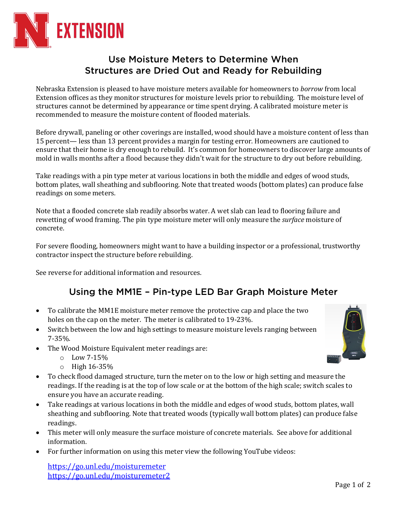

## Use Moisture Meters to Determine When Structures are Dried Out and Ready for Rebuilding

Nebraska Extension is pleased to have moisture meters available for homeowners to *borrow* from local Extension offices as they monitor structures for moisture levels prior to rebuilding. The moisture level of structures cannot be determined by appearance or time spent drying. A calibrated moisture meter is recommended to measure the moisture content of flooded materials.

Before drywall, paneling or other coverings are installed, wood should have a moisture content of less than 15 percent— less than 13 percent provides a margin for testing error. Homeowners are cautioned to ensure that their home is dry enough to rebuild. It's common for homeowners to discover large amounts of mold in walls months after a flood because they didn't wait for the structure to dry out before rebuilding.

Take readings with a pin type meter at various locations in both the middle and edges of wood studs, bottom plates, wall sheathing and subflooring. Note that treated woods (bottom plates) can produce false readings on some meters.

Note that a flooded concrete slab readily absorbs water. A wet slab can lead to flooring failure and rewetting of wood framing. The pin type moisture meter will only measure the *surface* moisture of concrete.

For severe flooding, homeowners might want to have a building inspector or a professional, trustworthy contractor inspect the structure before rebuilding.

See reverse for additional information and resources.

## Using the MM1E – Pin-type LED Bar Graph Moisture Meter

- To calibrate the MM1E moisture meter remove the protective cap and place the two holes on the cap on the meter. The meter is calibrated to 19-23%.
- Switch between the low and high settings to measure moisture levels ranging between 7-35%.
- The Wood Moisture Equivalent meter readings are:
	- $\circ$  Low 7-15%
	- $\circ$  High 16-35%
- To check flood damaged structure, turn the meter on to the low or high setting and measure the readings. If the reading is at the top of low scale or at the bottom of the high scale; switch scales to ensure you have an accurate reading.
- Take readings at various locations in both the middle and edges of wood studs, bottom plates, wall sheathing and subflooring. Note that treated woods (typically wall bottom plates) can produce false readings.
- This meter will only measure the surface moisture of concrete materials. See above for additional information.
- For further information on using this meter view the following YouTube videos:

https://go.unl.edu/moisturemeter https://go.unl.edu/moisturemeter2